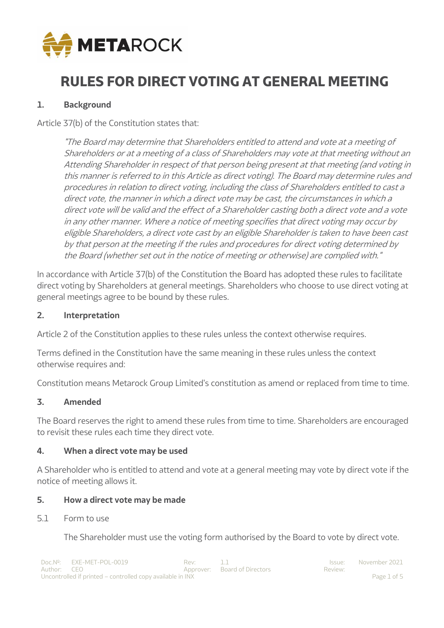

# **RULES FOR DIRECT VOTING AT GENERAL MEETING**

## **1. Background**

Article 37(b) of the Constitution states that:

"The Board may determine that Shareholders entitled to attend and vote at a meeting of Shareholders or at a meeting of a class of Shareholders may vote at that meeting without an Attending Shareholder in respect of that person being present at that meeting (and voting in this manner is referred to in this Article as direct voting). The Board may determine rules and procedures in relation to direct voting, including the class of Shareholders entitled to cast a direct vote, the manner in which a direct vote may be cast, the circumstances in which a direct vote will be valid and the effect of a Shareholder casting both a direct vote and a vote in any other manner. Where a notice of meeting specifies that direct voting may occur by eligible Shareholders, a direct vote cast by an eligible Shareholder is taken to have been cast by that person at the meeting if the rules and procedures for direct voting determined by the Board (whether set out in the notice of meeting or otherwise) are complied with."

In accordance with Article 37(b) of the Constitution the Board has adopted these rules to facilitate direct voting by Shareholders at general meetings. Shareholders who choose to use direct voting at general meetings agree to be bound by these rules.

### **2. Interpretation**

Article 2 of the Constitution applies to these rules unless the context otherwise requires.

Terms defined in the Constitution have the same meaning in these rules unless the context otherwise requires and:

Constitution means Metarock Group Limited's constitution as amend or replaced from time to time.

### **3. Amended**

The Board reserves the right to amend these rules from time to time. Shareholders are encouraged to revisit these rules each time they direct vote.

### **4. When a direct vote may be used**

A Shareholder who is entitled to attend and vote at a general meeting may vote by direct vote if the notice of meeting allows it.

#### **5. How a direct vote may be made**

5.1 Form to use

The Shareholder must use the voting form authorised by the Board to vote by direct vote.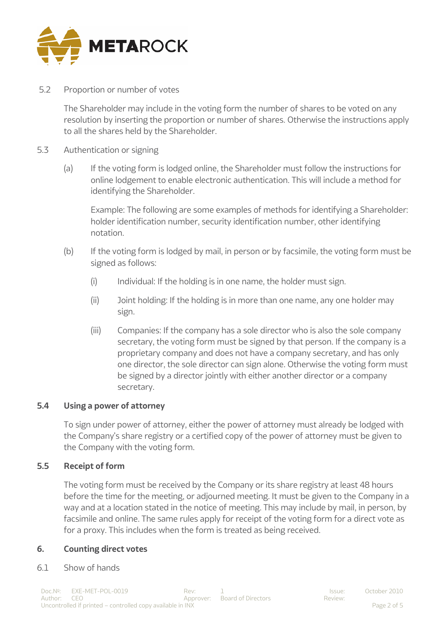

5.2 Proportion or number of votes

The Shareholder may include in the voting form the number of shares to be voted on any resolution by inserting the proportion or number of shares. Otherwise the instructions apply to all the shares held by the Shareholder.

- 5.3 Authentication or signing
	- (a) If the voting form is lodged online, the Shareholder must follow the instructions for online lodgement to enable electronic authentication. This will include a method for identifying the Shareholder.

Example: The following are some examples of methods for identifying a Shareholder: holder identification number, security identification number, other identifying notation.

- (b) If the voting form is lodged by mail, in person or by facsimile, the voting form must be signed as follows:
	- $(i)$  Individual: If the holding is in one name, the holder must sign.
	- (ii) Joint holding: If the holding is in more than one name, any one holder may sign.
	- (iii) Companies: If the company has a sole director who is also the sole company secretary, the voting form must be signed by that person. If the company is a proprietary company and does not have a company secretary, and has only one director, the sole director can sign alone. Otherwise the voting form must be signed by a director jointly with either another director or a company secretary.

### **5.4 Using a power of attorney**

To sign under power of attorney, either the power of attorney must already be lodged with the Company's share registry or a certified copy of the power of attorney must be given to the Company with the voting form.

## **5.5 Receipt of form**

The voting form must be received by the Company or its share registry at least 48 hours before the time for the meeting, or adjourned meeting. It must be given to the Company in a way and at a location stated in the notice of meeting. This may include by mail, in person, by facsimile and online. The same rules apply for receipt of the voting form for a direct vote as for a proxy. This includes when the form is treated as being received.

### **6. Counting direct votes**

6.1 Show of hands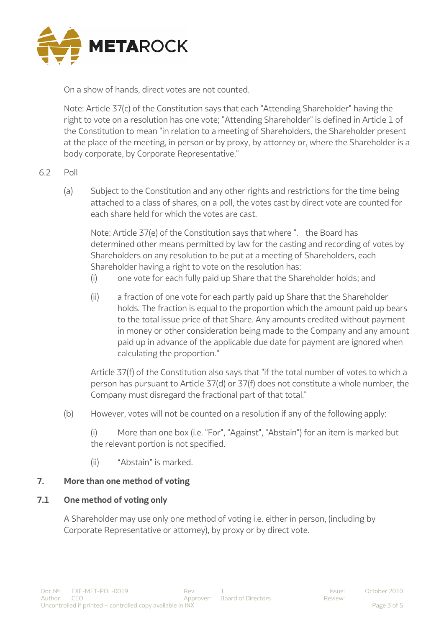

On a show of hands, direct votes are not counted.

Note: Article 37(c) of the Constitution says that each "Attending Shareholder" having the right to vote on a resolution has one vote; "Attending Shareholder" is defined in Article 1 of the Constitution to mean "in relation to a meeting of Shareholders, the Shareholder present at the place of the meeting, in person or by proxy, by attorney or, where the Shareholder is a body corporate, by Corporate Representative."

## 6.2 Poll

(a) Subject to the Constitution and any other rights and restrictions for the time being attached to a class of shares, on a poll, the votes cast by direct vote are counted for each share held for which the votes are cast.

Note: Article 37(e) of the Constitution says that where ". the Board has determined other means permitted by law for the casting and recording of votes by Shareholders on any resolution to be put at a meeting of Shareholders, each Shareholder having a right to vote on the resolution has:

- (i) one vote for each fully paid up Share that the Shareholder holds; and
- (ii) a fraction of one vote for each partly paid up Share that the Shareholder holds. The fraction is equal to the proportion which the amount paid up bears to the total issue price of that Share. Any amounts credited without payment in money or other consideration being made to the Company and any amount paid up in advance of the applicable due date for payment are ignored when calculating the proportion."

Article 37(f) of the Constitution also says that "if the total number of votes to which a person has pursuant to Article 37(d) or 37(f) does not constitute a whole number, the Company must disregard the fractional part of that total."

(b) However, votes will not be counted on a resolution if any of the following apply:

(i) More than one box (i.e. "For", "Against", "Abstain") for an item is marked but the relevant portion is not specified.

(ii) "Abstain" is marked.

### **7. More than one method of voting**

### **7.1 One method of voting only**

A Shareholder may use only one method of voting i.e. either in person, (including by Corporate Representative or attorney), by proxy or by direct vote.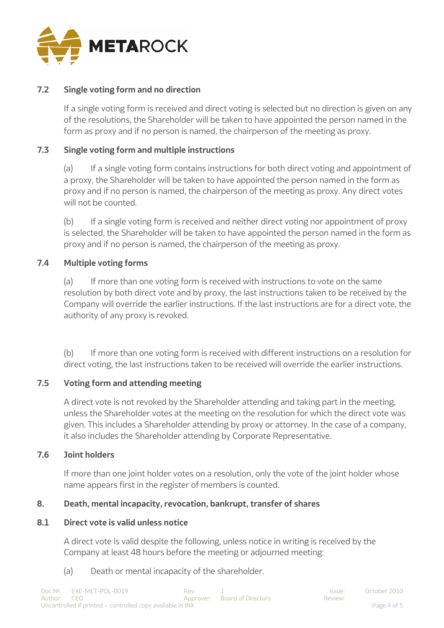

## **7.2 Single voting form and no direction**

If a single voting form is received and direct voting is selected but no direction is given on any of the resolutions, the Shareholder will be taken to have appointed the person named in the form as proxy and if no person is named, the chairperson of the meeting as proxy.

## **7.3 Single voting form and multiple instructions**

(a) If a single voting form contains instructions for both direct voting and appointment of a proxy, the Shareholder will be taken to have appointed the person named in the form as proxy and if no person is named, the chairperson of the meeting as proxy. Any direct votes will not be counted.

(b) If a single voting form is received and neither direct voting nor appointment of proxy is selected, the Shareholder will be taken to have appointed the person named in the form as proxy and if no person is named, the chairperson of the meeting as proxy.

## **7.4 Multiple voting forms**

(a) If more than one voting form is received with instructions to vote on the same resolution by both direct vote and by proxy, the last instructions taken to be received by the Company will override the earlier instructions. If the last instructions are for a direct vote, the authority of any proxy is revoked.

(b) If more than one voting form is received with different instructions on a resolution for direct voting, the last instructions taken to be received will override the earlier instructions.

### **7.5 Voting form and attending meeting**

A direct vote is not revoked by the Shareholder attending and taking part in the meeting, unless the Shareholder votes at the meeting on the resolution for which the direct vote was given. This includes a Shareholder attending by proxy or attorney. In the case of a company, it also includes the Shareholder attending by Corporate Representative.

### **7.6 Joint holders**

If more than one joint holder votes on a resolution, only the vote of the joint holder whose name appears first in the register of members is counted.

### **8. Death, mental incapacity, revocation, bankrupt, transfer of shares**

### **8.1 Direct vote is valid unless notice**

A direct vote is valid despite the following, unless notice in writing is received by the Company at least 48 hours before the meeting or adjourned meeting:

(a) Death or mental incapacity of the shareholder.